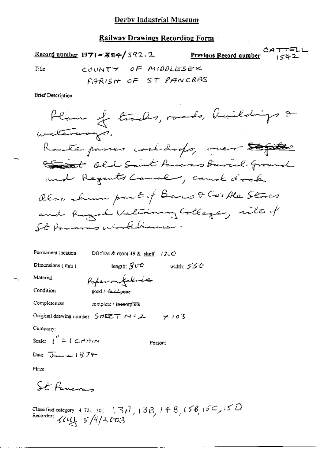Railway Drawings Recording Form

CATTELL Record number 1971-384/592.2 Previous Record number  $1542$ COUNTY OF MIDDLESEX Title PIARISH OF ST PANCRAS **Brief Description** Plan of trades made, buildings &

Permanent location DBYIM & room 49 & shelf:  $(2, 0)$ 

Dimensions  $(mn)$ 

width:  $550$ length:  $S$   $\sigma$ 

Material Condition

good / fair / peer-

Completeness complete / incomplete

Original drawing number  $SHEET \sim 2.2$   $\neq 10.3$ 

Papermitaline

Company:

Scale:  $\int_0^R = \int C_1 d\tau d\tau$ 

Person:

Date:  $\sum_{k=1}^{\infty}$ 

Place:

St. Pancres

Classified category: 4.721.301. | 3 $A_{7}$  | 3 $B_{7}$  | 4  $B_{7}$  | 56, 150, 150<br>Recorder:  $\mathcal{U}\mathcal{U}_{3}$  5/9/2003